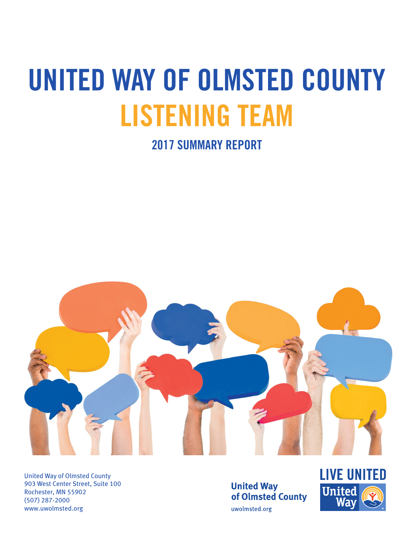# **UNITED WAY OF OLMSTED COUNTY LISTENING TEAM**

**2017 SUMMARY REPORT**



United Way of Olmsted County 903 West Center Street, Suite 100 Rochester, MN 55902 (507) 287-2000 www.uwolmsted.org

**United Way** of Olmsted County uwolmsted.org

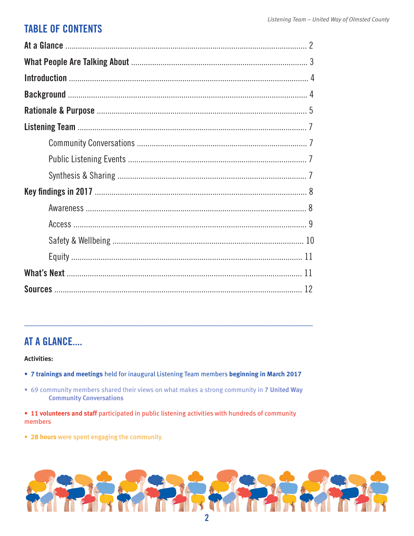# **TABLE OF CONTENTS**

# AT A GLANCE....

#### **Activities:**

- . 7 trainings and meetings held for inaugural Listening Team members beginning in March 2017
- . 69 community members shared their views on what makes a strong community in 7 United Way **Community Conversations**
- 11 volunteers and staff participated in public listening activities with hundreds of community members
- 28 hours were spent engaging the community

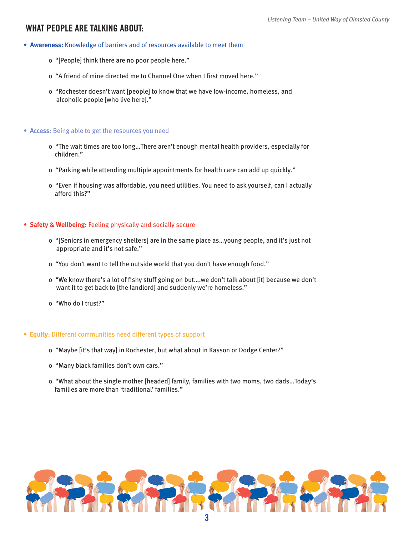#### **WHAT PEOPLE ARE TALKING ABOUT:**

- **Awareness:** Knowledge of barriers and of resources available to meet them
	- o "[People] think there are no poor people here."
	- o "A friend of mine directed me to Channel One when I first moved here."
	- o "Rochester doesn't want [people] to know that we have low-income, homeless, and alcoholic people [who live here]."

#### **• Access:** Being able to get the resources you need

- o "The wait times are too long…There aren't enough mental health providers, especially for children."
- o "Parking while attending multiple appointments for health care can add up quickly."
- o "Even if housing was affordable, you need utilities. You need to ask yourself, can I actually afford this?"

#### **• Safety & Wellbeing:** Feeling physically and socially secure

- o "[Seniors in emergency shelters] are in the same place as…young people, and it's just not appropriate and it's not safe."
- o "You don't want to tell the outside world that you don't have enough food."
- o "We know there's a lot of fishy stuff going on but….we don't talk about [it] because we don't want it to get back to [the landlord] and suddenly we're homeless."
- o "Who do I trust?"

#### **• Equity:** Different communities need different types of support

- o "Maybe [it's that way] in Rochester, but what about in Kasson or Dodge Center?"
- o "Many black families don't own cars."
- o "What about the single mother [headed] family, families with two moms, two dads…Today's families are more than 'traditional' families."

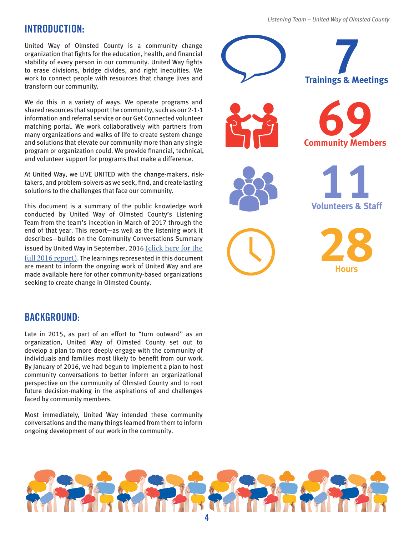# **INTRODUCTION:**

United Way of Olmsted County is a community change organization that fights for the education, health, and financial stability of every person in our community. United Way fights to erase divisions, bridge divides, and right inequities. We work to connect people with resources that change lives and transform our community.

We do this in a variety of ways. We operate programs and shared resources that support the community, such as our 2-1-1 information and referral service or our Get Connected volunteer matching portal. We work collaboratively with partners from many organizations and walks of life to create system change and solutions that elevate our community more than any single program or organization could. We provide financial, technical, and volunteer support for programs that make a difference.

At United Way, we LIVE UNITED with the change-makers, risktakers, and problem-solvers as we seek, find, and create lasting solutions to the challenges that face our community.

This document is a summary of the public knowledge work conducted by United Way of Olmsted County's Listening Team from the team's inception in March of 2017 through the end of that year. This report—as well as the listening work it describes—builds on the Community Conversations Summary issued by United Way in September, 2016 (click here for the full 2016 report). The learnings represented in this document are meant to inform the ongoing work of United Way and are made available here for other community-based organizations seeking to create change in Olmsted County.

# **Trainings & Meetings 7 Community Members 69 Volunteers & Staff 11 28**

#### **BACKGROUND:**

Late in 2015, as part of an effort to "turn outward" as an organization, United Way of Olmsted County set out to develop a plan to more deeply engage with the community of individuals and families most likely to benefit from our work. By January of 2016, we had begun to implement a plan to host community conversations to better inform an organizational perspective on the community of Olmsted County and to root future decision-making in the aspirations of and challenges faced by community members.

Most immediately, United Way intended these community conversations and the many things learned from them to inform ongoing development of our work in the community.

*Listening Team – United Way of Olmsted County*

**Hours**

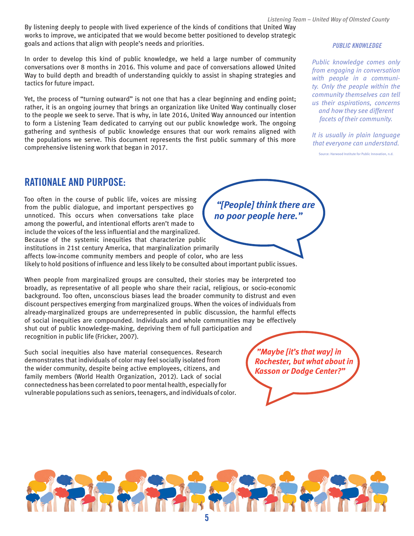By listening deeply to people with lived experience of the kinds of conditions that United Way works to improve, we anticipated that we would become better positioned to develop strategic goals and actions that align with people's needs and priorities.

In order to develop this kind of public knowledge, we held a large number of community conversations over 8 months in 2016. This volume and pace of conversations allowed United Way to build depth and breadth of understanding quickly to assist in shaping strategies and tactics for future impact.

Yet, the process of "turning outward" is not one that has a clear beginning and ending point; rather, it is an ongoing journey that brings an organization like United Way continually closer to the people we seek to serve. That is why, in late 2016, United Way announced our intention to form a Listening Team dedicated to carrying out our public knowledge work. The ongoing gathering and synthesis of public knowledge ensures that our work remains aligned with the populations we serve. This document represents the first public summary of this more comprehensive listening work that began in 2017.

#### *PUBLIC KNOWLEDGE*

*Public knowledge comes only from engaging in conversation with people in a community. Only the people within the community themselves can tell us their aspirations, concerns and how they see different facets of their community.*

*It is usually in plain language that everyone can understand.*

Source: Harwood Institute for Public Innovation, n.d.

### **RATIONALE AND PURPOSE:**

Too often in the course of public life, voices are missing from the public dialogue, and important perspectives go unnoticed. This occurs when conversations take place among the powerful, and intentional efforts aren't made to include the voices of the less influential and the marginalized. Because of the systemic inequities that characterize public institutions in 21st century America, that marginalization primarily affects low-income community members and people of color, who are less likely to hold positions of influence and less likely to be consulted about important public issues.

When people from marginalized groups are consulted, their stories may be interpreted too broadly, as representative of all people who share their racial, religious, or socio-economic background. Too often, unconscious biases lead the broader community to distrust and even discount perspectives emerging from marginalized groups. When the voices of individuals from already-marginalized groups are underrepresented in public discussion, the harmful effects of social inequities are compounded. Individuals and whole communities may be effectively shut out of public knowledge-making, depriving them of full participation and recognition in public life (Fricker, 2007).

Such social inequities also have material consequences. Research demonstrates that individuals of color may feel socially isolated from the wider community, despite being active employees, citizens, and family members (World Health Organization, 2012). Lack of social connectedness has been correlated to poor mental health, especially for vulnerable populations such as seniors, teenagers, and individuals of color.

 *"[People] think there are no poor people here."*

> *"Maybe [it's that way] in Rochester, but what about in Kasson or Dodge Center?"*

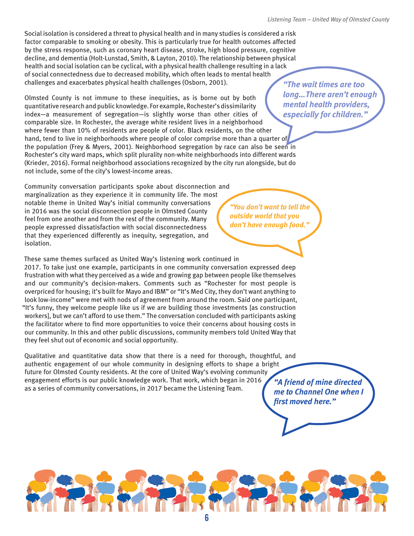Social isolation is considered a threat to physical health and in many studies is considered a risk factor comparable to smoking or obesity. This is particularly true for health outcomes affected by the stress response, such as coronary heart disease, stroke, high blood pressure, cognitive decline, and dementia (Holt-Lunstad, Smith, & Layton, 2010). The relationship between physical health and social isolation can be cyclical, with a physical health challenge resulting in a lack of social connectedness due to decreased mobility, which often leads to mental health challenges and exacerbates physical health challenges (Osborn, 2001).

Olmsted County is not immune to these inequities, as is borne out by both quantitative research and public knowledge. For example, Rochester's dissimilarity index—a measurement of segregation—is slightly worse than other cities of comparable size. In Rochester, the average white resident lives in a neighborhood where fewer than 10% of residents are people of color. Black residents, on the other hand, tend to live in neighborhoods where people of color comprise more than a quarter of the population (Frey & Myers, 2001). Neighborhood segregation by race can also be seen in Rochester's city ward maps, which split plurality non-white neighborhoods into different wards (Krieder, 2016). Formal neighborhood associations recognized by the city run alongside, but do not include, some of the city's lowest-income areas.

Community conversation participants spoke about disconnection and marginalization as they experience it in community life. The most notable theme in United Way's initial community conversations in 2016 was the social disconnection people in Olmsted County feel from one another and from the rest of the community. Many people expressed dissatisfaction with social disconnectedness that they experienced differently as inequity, segregation, and isolation.

These same themes surfaced as United Way's listening work continued in 2017. To take just one example, participants in one community conversation expressed deep frustration with what they perceived as a wide and growing gap between people like themselves and our community's decision-makers. Comments such as "Rochester for most people is overpriced for housing; it's built for Mayo and IBM" or "It's Med City, they don't want anything to look low-income" were met with nods of agreement from around the room. Said one participant, "It's funny, they welcome people like us if we are building those investments [as construction workers], but we can't afford to use them." The conversation concluded with participants asking the facilitator where to find more opportunities to voice their concerns about housing costs in our community. In this and other public discussions, community members told United Way that they feel shut out of economic and social opportunity.

Qualitative and quantitative data show that there is a need for thorough, thoughtful, and authentic engagement of our whole community in designing efforts to shape a bright future for Olmsted County residents. At the core of United Way's evolving community engagement efforts is our public knowledge work. That work, which began in 2016 as a series of community conversations, in 2017 became the Listening Team.

*"A friend of mine directed me to Channel One when I first moved here."* 



*"The wait times are too long…There aren't enough mental health providers, especially for children."*

*outside world that you don't have enough food."*

*"You don't want to tell the*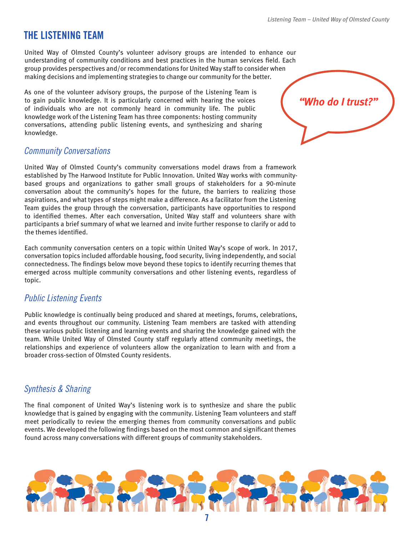# **THE LISTENING TEAM**

United Way of Olmsted County's volunteer advisory groups are intended to enhance our understanding of community conditions and best practices in the human services field. Each group provides perspectives and/or recommendations for United Way staff to consider when making decisions and implementing strategies to change our community for the better.

As one of the volunteer advisory groups, the purpose of the Listening Team is to gain public knowledge. It is particularly concerned with hearing the voices of individuals who are not commonly heard in community life. The public knowledge work of the Listening Team has three components: hosting community conversations, attending public listening events, and synthesizing and sharing knowledge.

#### *Community Conversations*

United Way of Olmsted County's community conversations model draws from a framework established by The Harwood Institute for Public Innovation. United Way works with communitybased groups and organizations to gather small groups of stakeholders for a 90-minute conversation about the community's hopes for the future, the barriers to realizing those aspirations, and what types of steps might make a difference. As a facilitator from the Listening Team guides the group through the conversation, participants have opportunities to respond to identified themes. After each conversation, United Way staff and volunteers share with participants a brief summary of what we learned and invite further response to clarify or add to the themes identified.

Each community conversation centers on a topic within United Way's scope of work. In 2017, conversation topics included affordable housing, food security, living independently, and social connectedness. The findings below move beyond these topics to identify recurring themes that emerged across multiple community conversations and other listening events, regardless of topic.

#### *Public Listening Events*

Public knowledge is continually being produced and shared at meetings, forums, celebrations, and events throughout our community. Listening Team members are tasked with attending these various public listening and learning events and sharing the knowledge gained with the team. While United Way of Olmsted County staff regularly attend community meetings, the relationships and experience of volunteers allow the organization to learn with and from a broader cross-section of Olmsted County residents.

#### *Synthesis & Sharing*

The final component of United Way's listening work is to synthesize and share the public knowledge that is gained by engaging with the community. Listening Team volunteers and staff meet periodically to review the emerging themes from community conversations and public events. We developed the following findings based on the most common and significant themes found across many conversations with different groups of community stakeholders.



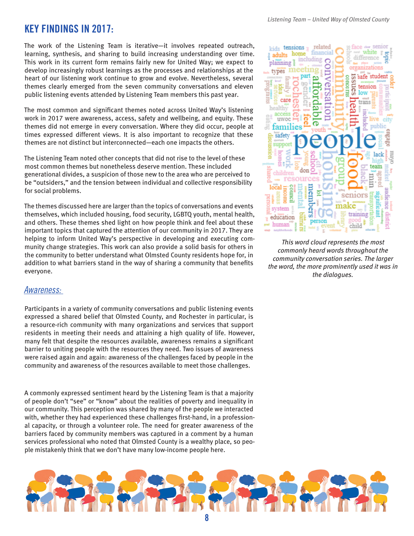The work of the Listening Team is iterative—it involves repeated outreach, learning, synthesis, and sharing to build increasing understanding over time. This work in its current form remains fairly new for United Way; we expect to develop increasingly robust learnings as the processes and relationships at the heart of our listening work continue to grow and evolve. Nevertheless, several themes clearly emerged from the seven community conversations and eleven public listening events attended by Listening Team members this past year.

The most common and significant themes noted across United Way's listening work in 2017 were awareness, access, safety and wellbeing, and equity. These themes did not emerge in every conversation. Where they did occur, people at times expressed different views. It is also important to recognize that these themes are not distinct but interconnected—each one impacts the others.

The Listening Team noted other concepts that did not rise to the level of these most common themes but nonetheless deserve mention. These included generational divides, a suspicion of those new to the area who are perceived to be "outsiders," and the tension between individual and collective responsibility for social problems.

The themes discussed here are larger than the topics of conversations and events themselves, which included housing, food security, LGBTQ youth, mental health, and others. These themes shed light on how people think and feel about these important topics that captured the attention of our community in 2017. They are helping to inform United Way's perspective in developing and executing community change strategies. This work can also provide a solid basis for others in the community to better understand what Olmsted County residents hope for, in addition to what barriers stand in the way of sharing a community that benefits everyone.



*This word cloud represents the most commonly heard words throughout the community conversation series. The larger the word, the more prominently used it was in the dialogues.*

#### *Awareness:*

Participants in a variety of community conversations and public listening events expressed a shared belief that Olmsted County, and Rochester in particular, is a resource-rich community with many organizations and services that support residents in meeting their needs and attaining a high quality of life. However, many felt that despite the resources available, awareness remains a significant barrier to uniting people with the resources they need. Two issues of awareness were raised again and again: awareness of the challenges faced by people in the community and awareness of the resources available to meet those challenges.

A commonly expressed sentiment heard by the Listening Team is that a majority of people don't "see" or "know" about the realities of poverty and inequality in our community. This perception was shared by many of the people we interacted with, whether they had experienced these challenges first-hand, in a professional capacity, or through a volunteer role. The need for greater awareness of the barriers faced by community members was captured in a comment by a human services professional who noted that Olmsted County is a wealthy place, so people mistakenly think that we don't have many low-income people here.

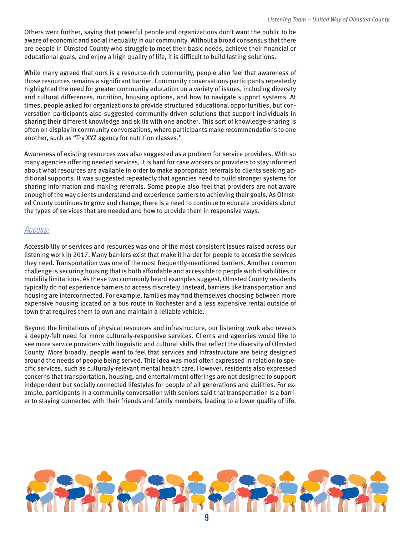Others went further, saying that powerful people and organizations don't want the public to be aware of economic and social inequality in our community. Without a broad consensus that there are people in Olmsted County who struggle to meet their basic needs, achieve their financial or educational goals, and enjoy a high quality of life, it is difficult to build lasting solutions.

While many agreed that ours is a resource-rich community, people also feel that awareness of those resources remains a significant barrier. Community conversations participants repeatedly highlighted the need for greater community education on a variety of issues, including diversity and cultural differences, nutrition, housing options, and how to navigate support systems. At times, people asked for organizations to provide structured educational opportunities, but conversation participants also suggested community-driven solutions that support individuals in sharing their different knowledge and skills with one another. This sort of knowledge-sharing is often on display in community conversations, where participants make recommendations to one another, such as "Try XYZ agency for nutrition classes."

Awareness of existing resources was also suggested as a problem for service providers. With so many agencies offering needed services, it is hard for case workers or providers to stay informed about what resources are available in order to make appropriate referrals to clients seeking additional supports. It was suggested repeatedly that agencies need to build stronger systems for sharing information and making referrals. Some people also feel that providers are not aware enough of the way clients understand and experience barriers to achieving their goals. As Olmsted County continues to grow and change, there is a need to continue to educate providers about the types of services that are needed and how to provide them in responsive ways.

#### *Access:*

Accessibility of services and resources was one of the most consistent issues raised across our listening work in 2017. Many barriers exist that make it harder for people to access the services they need. Transportation was one of the most frequently-mentioned barriers. Another common challenge is securing housing that is both affordable and accessible to people with disabilities or mobility limitations. As these two commonly heard examples suggest, Olmsted County residents typically do not experience barriers to access discretely. Instead, barriers like transportation and housing are interconnected. For example, families may find themselves choosing between more expensive housing located on a bus route in Rochester and a less expensive rental outside of town that requires them to own and maintain a reliable vehicle.

Beyond the limitations of physical resources and infrastructure, our listening work also reveals a deeply-felt need for more culturally-responsive services. Clients and agencies would like to see more service providers with linguistic and cultural skills that reflect the diversity of Olmsted County. More broadly, people want to feel that services and infrastructure are being designed around the needs of people being served. This idea was most often expressed in relation to specific services, such as culturally-relevant mental health care. However, residents also expressed concerns that transportation, housing, and entertainment offerings are not designed to support independent but socially connected lifestyles for people of all generations and abilities. For example, participants in a community conversation with seniors said that transportation is a barrier to staying connected with their friends and family members, leading to a lower quality of life.

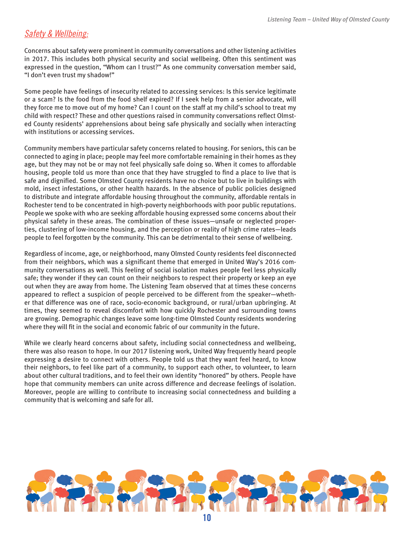#### *Safety & Wellbeing:*

Concerns about safety were prominent in community conversations and other listening activities in 2017. This includes both physical security and social wellbeing. Often this sentiment was expressed in the question, "Whom can I trust?" As one community conversation member said, "I don't even trust my shadow!"

Some people have feelings of insecurity related to accessing services: Is this service legitimate or a scam? Is the food from the food shelf expired? If I seek help from a senior advocate, will they force me to move out of my home? Can I count on the staff at my child's school to treat my child with respect? These and other questions raised in community conversations reflect Olmsted County residents' apprehensions about being safe physically and socially when interacting with institutions or accessing services.

Community members have particular safety concerns related to housing. For seniors, this can be connected to aging in place; people may feel more comfortable remaining in their homes as they age, but they may not be or may not feel physically safe doing so. When it comes to affordable housing, people told us more than once that they have struggled to find a place to live that is safe and dignified. Some Olmsted County residents have no choice but to live in buildings with mold, insect infestations, or other health hazards. In the absence of public policies designed to distribute and integrate affordable housing throughout the community, affordable rentals in Rochester tend to be concentrated in high-poverty neighborhoods with poor public reputations. People we spoke with who are seeking affordable housing expressed some concerns about their physical safety in these areas. The combination of these issues—unsafe or neglected properties, clustering of low-income housing, and the perception or reality of high crime rates—leads people to feel forgotten by the community. This can be detrimental to their sense of wellbeing.

Regardless of income, age, or neighborhood, many Olmsted County residents feel disconnected from their neighbors, which was a significant theme that emerged in United Way's 2016 community conversations as well. This feeling of social isolation makes people feel less physically safe; they wonder if they can count on their neighbors to respect their property or keep an eye out when they are away from home. The Listening Team observed that at times these concerns appeared to reflect a suspicion of people perceived to be different from the speaker—whether that difference was one of race, socio-economic background, or rural/urban upbringing. At times, they seemed to reveal discomfort with how quickly Rochester and surrounding towns are growing. Demographic changes leave some long-time Olmsted County residents wondering where they will fit in the social and economic fabric of our community in the future.

While we clearly heard concerns about safety, including social connectedness and wellbeing, there was also reason to hope. In our 2017 listening work, United Way frequently heard people expressing a desire to connect with others. People told us that they want feel heard, to know their neighbors, to feel like part of a community, to support each other, to volunteer, to learn about other cultural traditions, and to feel their own identity "honored" by others. People have hope that community members can unite across difference and decrease feelings of isolation. Moreover, people are willing to contribute to increasing social connectedness and building a community that is welcoming and safe for all.

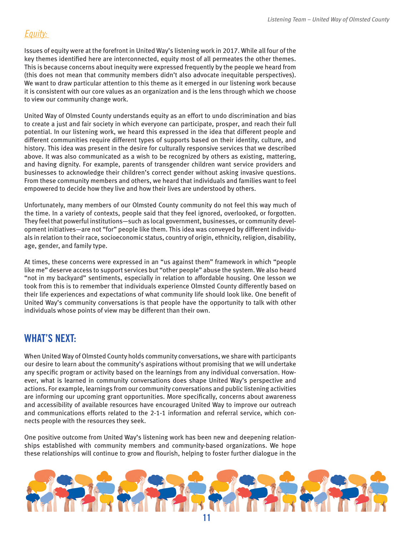### *Equity:*

Issues of equity were at the forefront in United Way's listening work in 2017. While all four of the key themes identified here are interconnected, equity most of all permeates the other themes. This is because concerns about inequity were expressed frequently by the people we heard from (this does not mean that community members didn't also advocate inequitable perspectives). We want to draw particular attention to this theme as it emerged in our listening work because it is consistent with our core values as an organization and is the lens through which we choose to view our community change work.

United Way of Olmsted County understands equity as an effort to undo discrimination and bias to create a just and fair society in which everyone can participate, prosper, and reach their full potential. In our listening work, we heard this expressed in the idea that different people and different communities require different types of supports based on their identity, culture, and history. This idea was present in the desire for culturally responsive services that we described above. It was also communicated as a wish to be recognized by others as existing, mattering, and having dignity. For example, parents of transgender children want service providers and businesses to acknowledge their children's correct gender without asking invasive questions. From these community members and others, we heard that individuals and families want to feel empowered to decide how they live and how their lives are understood by others.

Unfortunately, many members of our Olmsted County community do not feel this way much of the time. In a variety of contexts, people said that they feel ignored, overlooked, or forgotten. They feel that powerful institutions—such as local government, businesses, or community development initiatives—are not "for" people like them. This idea was conveyed by different individuals in relation to their race, socioeconomic status, country of origin, ethnicity, religion, disability, age, gender, and family type.

At times, these concerns were expressed in an "us against them" framework in which "people like me" deserve access to support services but "other people" abuse the system. We also heard "not in my backyard" sentiments, especially in relation to affordable housing. One lesson we took from this is to remember that individuals experience Olmsted County differently based on their life experiences and expectations of what community life should look like. One benefit of United Way's community conversations is that people have the opportunity to talk with other individuals whose points of view may be different than their own.

# **WHAT'S NEXT:**

When United Way of Olmsted County holds community conversations, we share with participants our desire to learn about the community's aspirations without promising that we will undertake any specific program or activity based on the learnings from any individual conversation. However, what is learned in community conversations does shape United Way's perspective and actions. For example, learnings from our community conversations and public listening activities are informing our upcoming grant opportunities. More specifically, concerns about awareness and accessibility of available resources have encouraged United Way to improve our outreach and communications efforts related to the 2-1-1 information and referral service, which connects people with the resources they seek.

One positive outcome from United Way's listening work has been new and deepening relationships established with community members and community-based organizations. We hope these relationships will continue to grow and flourish, helping to foster further dialogue in the